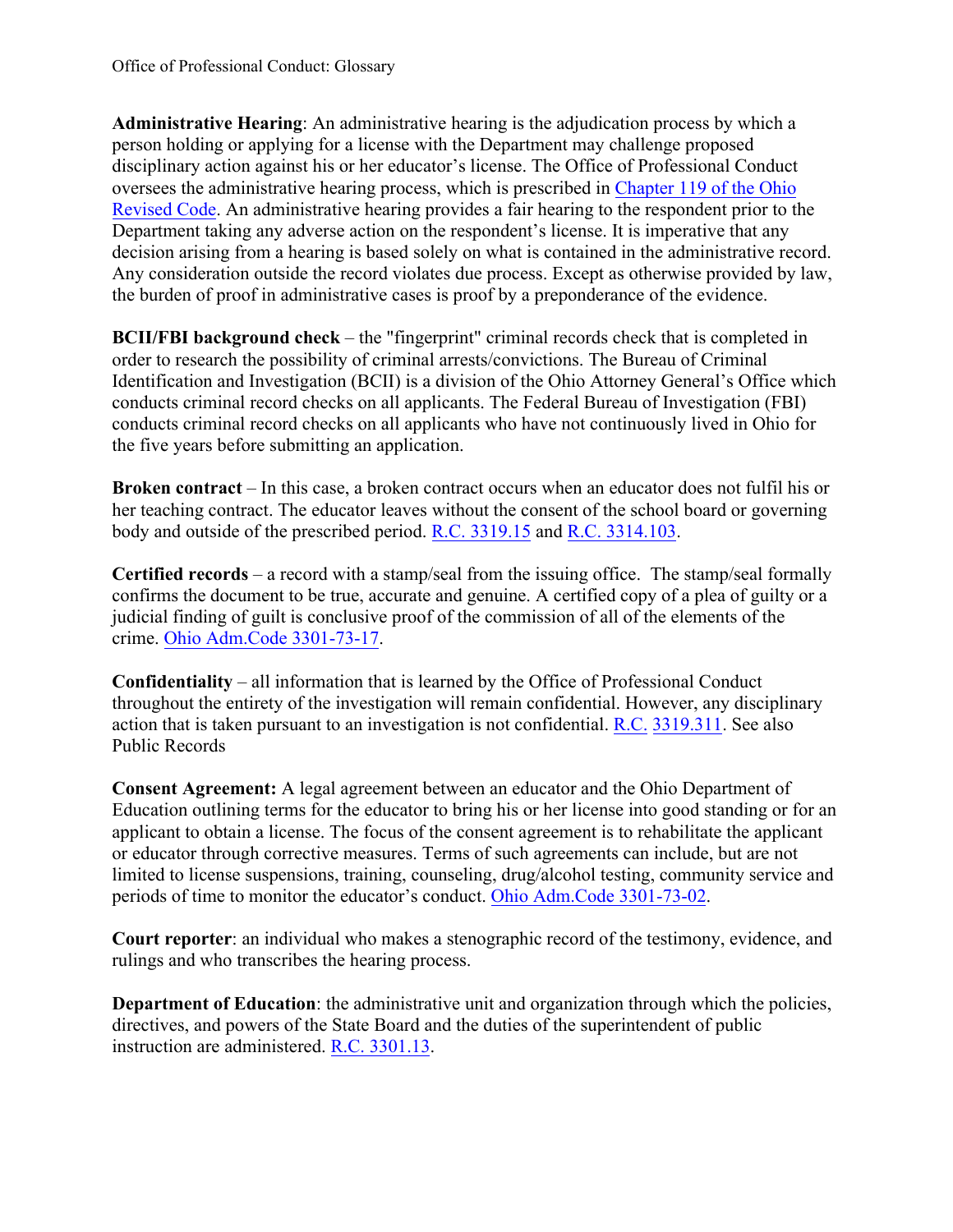person holding or applying for a license with the Department may challenge proposed disciplinary action against his or her educator's license. The Office of Professional Conduct [Revised Code.](https://codes.ohio.gov/ohio-revised-code/chapter-119) An administrative hearing provides a fair hearing to the respondent prior to the Department taking any adverse action on the respondent's license. It is imperative that any **Administrative Hearing**: An administrative hearing is the adjudication process by which a oversees the administrative hearing process, which is prescribed in [Chapter 119 of the Ohio](https://codes.ohio.gov/ohio-revised-code/chapter-119)  decision arising from a hearing is based solely on what is contained in the administrative record. Any consideration outside the record violates due process. Except as otherwise provided by law, the burden of proof in administrative cases is proof by a preponderance of the evidence.

 **BCII/FBI background check** – the "fingerprint" criminal records check that is completed in order to research the possibility of criminal arrests/convictions. The Bureau of Criminal Identification and Investigation (BCII) is a division of the Ohio Attorney General's Office which conducts criminal record checks on all applicants. The Federal Bureau of Investigation (FBI) conducts criminal record checks on all applicants who have not continuously lived in Ohio for the five years before submitting an application.

 **Broken contract** – In this case, a broken contract occurs when an educator does not fulfil his or her teaching contract. The educator leaves without the consent of the school board or governing body and outside of the prescribed period. R.C. [3319.15](https://codes.ohio.gov/ohio-revised-code/section-3319.15) and R.C. [3314.103.](https://codes.ohio.gov/ohio-revised-code/section-3314.103) 

 **Certified records** – a record with a stamp/seal from the issuing office. The stamp/seal formally confirms the document to be true, accurate and genuine. A certified copy of a plea of guilty or a judicial finding of guilt is conclusive proof of the commission of all of the elements of the crime[. Ohio Adm.Code 3301-73-17.](https://codes.ohio.gov/ohio-administrative-code/rule-3301-73-17) 

 **Confidentiality** – all information that is learned by the Office of Professional Conduct action that is taken pursuant to an investigation is not confidential. R.C. 3319.311. See also throughout the entirety of the investigation will remain confidential. However, any disciplinary [Public Re](https://codes.ohio.gov/ohio-revised-code/section-3319.311)cords

 Education outlining terms for the educator to bring his or her license into good standing or for an applicant to obtain a license. The focus of the consent agreement is to rehabilitate the applicant limited to license suspensions, training, counseling, drug/alcohol testing, community service and **Consent Agreement:** A legal agreement between an educator and the Ohio Department of or educator through corrective measures. Terms of such agreements can include, but are not periods of time to monitor the educator's conduct. [Ohio Adm.Code 3301-73-02.](https://codes.ohio.gov/ohio-administrative-code/rule-3301-73-02) 

**Court reporter**: an individual who makes a stenographic record of the testimony, evidence, and rulings and who transcribes the hearing process.

instruction are administered. R.C. 3301.13. **Department of Education**: the administrative unit and organization through which the policies, directives, and powers of the State Board and the duties of the superintendent of public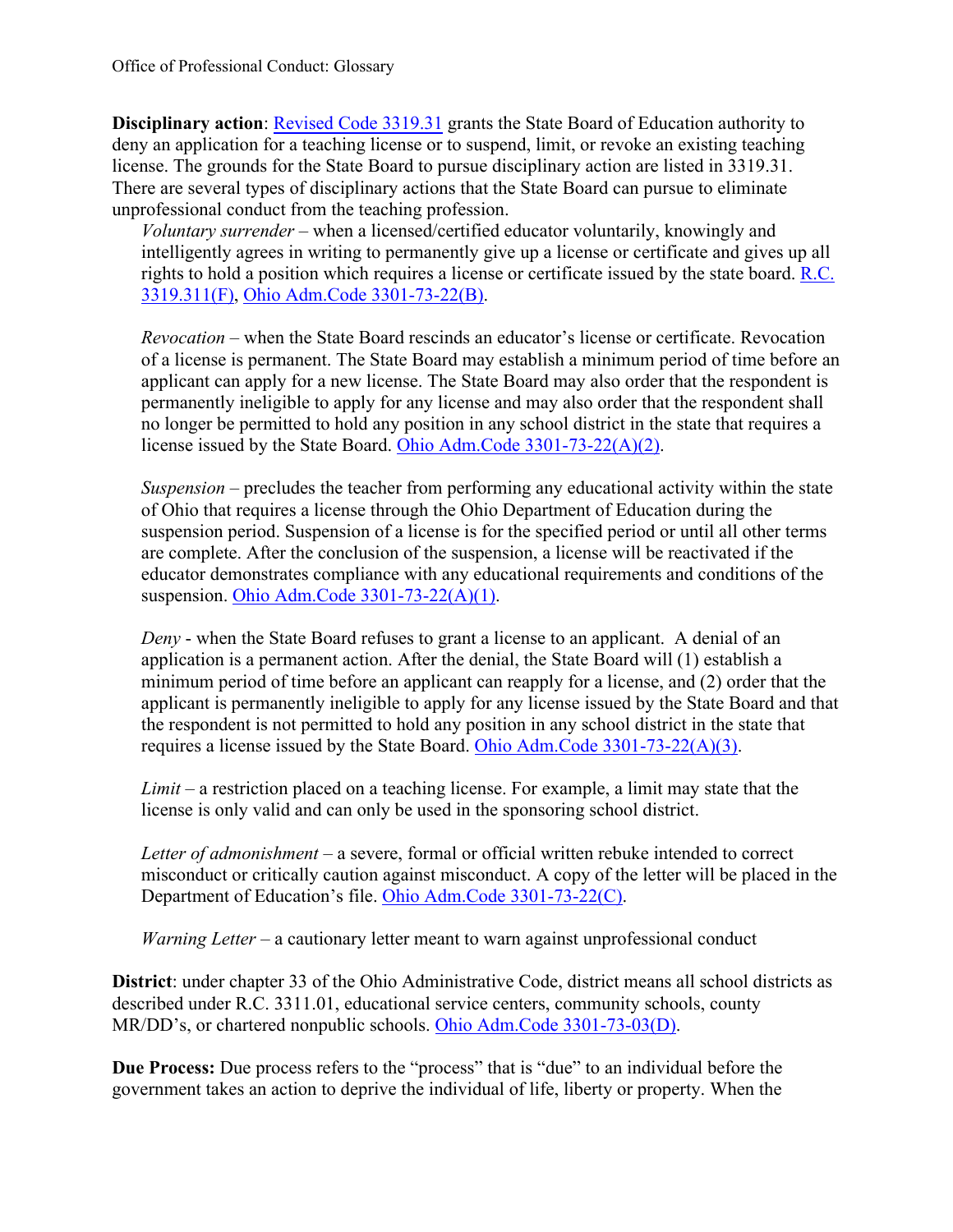license. The grounds for the State Board to pursue disciplinary action are listed in 3319.31. There are several types of disciplinary actions that the State Board can pursue to eliminate unprofessional conduct from the teaching profession. **Disciplinary action**: [Revised Code 3319.31](https://codes.ohio.gov/ohio-revised-code/section-3319.31) grants the State Board of Education authority to deny an application for a teaching license or to suspend, limit, or revoke an existing teaching

 *Voluntary surrender* – when a licensed/certified educator voluntarily, knowingly and intelligently agrees in writing to permanently give up a license or certificate and gives up all rights to hold a position which requires a license or certificate issued by the state board. [R.C.](https://codes.ohio.gov/ohio-revised-code/section-3319.311)  [3319.311\(F\),](https://codes.ohio.gov/ohio-revised-code/section-3319.311) [Ohio Adm.Code 3301-73-22\(B\).](https://codes.ohio.gov/ohio-administrative-code/rule-3301-73-22)

 *Revocation* – when the State Board rescinds an educator's license or certificate. Revocation of a license is permanent. The State Board may establish a minimum period of time before an applicant can apply for a new license. The State Board may also order that the respondent is permanently ineligible to apply for any license and may also order that the respondent shall no longer be permitted to hold any position in any school district in the state that requires a license issued by the State Board. [Ohio Adm.Code 3301-73-22\(A\)\(2\).](https://codes.ohio.gov/ohio-administrative-code/rule-3301-73-22)

 *Suspension* – precludes the teacher from performing any educational activity within the state of Ohio that requires a license through the Ohio Department of Education during the suspension period. Suspension of a license is for the specified period or until all other terms are complete. After the conclusion of the suspension, a license will be reactivated if the educator demonstrates compliance with any educational requirements and conditions of the suspension. [Ohio Adm.Code 3301-73-22\(A\)\(1\).](https://codes.ohio.gov/ohio-administrative-code/rule-3301-73-22)

 *Deny* - when the State Board refuses to grant a license to an applicant. A denial of an application is a permanent action. After the denial, the State Board will (1) establish a minimum period of time before an applicant can reapply for a license, and (2) order that the applicant is permanently ineligible to apply for any license issued by the State Board and that the respondent is not permitted to hold any position in any school district in the state that requires a license issued by the State Board. [Ohio Adm.Code 3301-73-22\(A\)\(3\).](https://codes.ohio.gov/ohio-administrative-code/rule-3301-73-22)

 *Limit* – a restriction placed on a teaching license. For example, a limit may state that the license is only valid and can only be used in the sponsoring school district.

 *Letter of admonishment* – a severe, formal or official written rebuke intended to correct misconduct or critically caution against misconduct. A copy of the letter will be placed in the Department of Education's file. [Ohio Adm.Code 3301-73-22\(C\).](https://codes.ohio.gov/ohio-administrative-code/rule-3301-73-22)

Warning Letter – a cautionary letter meant to warn against unprofessional conduct

 described under R.C. 3311.01, educational service centers, community schools, county **District**: under chapter 33 of the Ohio Administrative Code, district means all school districts as MR/DD's, or chartered nonpublic schools. [Ohio Adm.Code 3301-73-03\(D\).](https://codes.ohio.gov/ohio-administrative-code/rule-3301-73-03)

**Due Process:** Due process refers to the "process" that is "due" to an individual before the government takes an action to deprive the individual of life, liberty or property. When the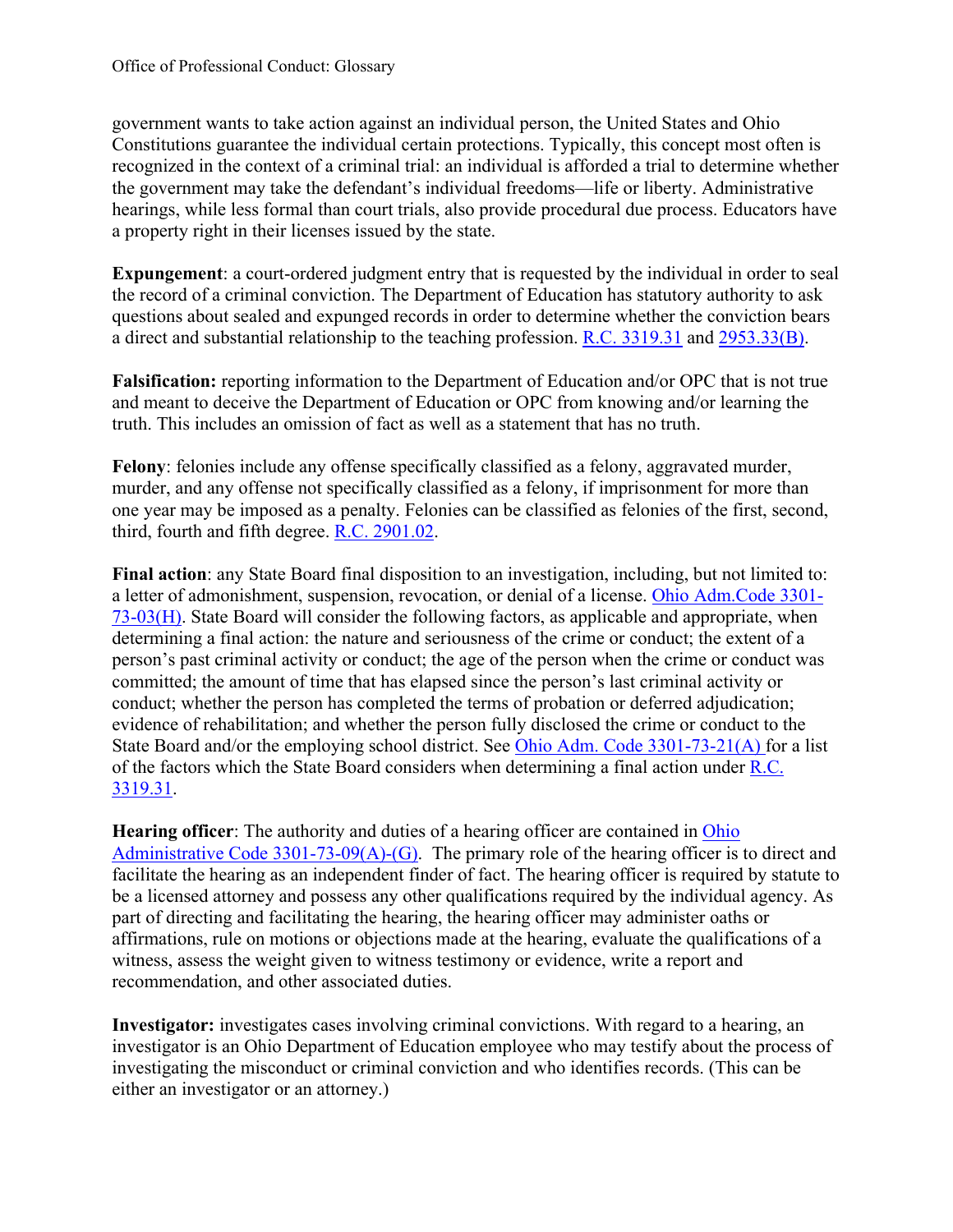Constitutions guarantee the individual certain protections. Typically, this concept most often is hearings, while less formal than court trials, also provide procedural due process. Educators have government wants to take action against an individual person, the United States and Ohio recognized in the context of a criminal trial: an individual is afforded a trial to determine whether the government may take the defendant's individual freedoms—life or liberty. Administrative a property right in their licenses issued by the state.

**Expungement**: a court-ordered judgment entry that is requested by the individual in order to seal the record of a criminal conviction. The Department of Education has statutory authority to ask questions about sealed and expunged records in order to determine whether the conviction bears a direct and substantial relationship to the teaching profession. [R.C. 3319.31](https://codes.ohio.gov/ohio-revised-code/section-3319.31) and [2953.33\(B\).](https://codes.ohio.gov/ohio-revised-code/section-2953.33)

 and meant to deceive the Department of Education or OPC from knowing and/or learning the **Falsification:** reporting information to the Department of Education and/or OPC that is not true truth. This includes an omission of fact as well as a statement that has no truth.

 **Felony**: felonies include any offense specifically classified as a felony, aggravated murder, murder, and any offense not specifically classified as a felony, if imprisonment for more than one year may be imposed as a penalty. Felonies can be classified as felonies of the first, second, third, fourth and fifth degree. [R.C. 2901.02.](https://codes.ohio.gov/ohio-revised-code/section-2901.02)

 **Final action**: any State Board final disposition to an investigation, including, but not limited to: a letter of admonishment, suspension, revocation, or denial of a license. [Ohio Adm.Code 3301-](https://codes.ohio.gov/ohio-administrative-code/rule-3301-73-03) State Board and/or the employing school district. See *Ohio Adm. Code 3301-73-21(A)* for a list of the factors which the State Board considers when determining a final action under R.C. [73-03\(H\).](https://codes.ohio.gov/ohio-administrative-code/rule-3301-73-03) State Board will consider the following factors, as applicable and appropriate, when determining a final action: the nature and seriousness of the crime or conduct; the extent of a person's past criminal activity or conduct; the age of the person when the crime or conduct was committed; the amount of time that has elapsed since the person's last criminal activity or conduct; whether the person has completed the terms of probation or deferred adjudication; evidence of rehabilitation; and whether the person fully disclosed the crime or conduct to the [3319.31.](https://codes.ohio.gov/ohio-revised-code/section-3319.31)

Administrative Code  $3301-73-09(A)-(G)$ . The primary role of the hearing officer is to direct and be a licensed attorney and possess any other qualifications required by the individual agency. As part of directing and facilitating the hearing, the hearing officer may administer oaths or affirmations, rule on motions or objections made at the hearing, evaluate the qualifications of a witness, assess the weight given to witness testimony or evidence, write a report and **Hearing officer:** The authority and duties of a hearing officer are contained in Ohio facilitate the hearing as an independent finder of fact. The hearing officer is required by statute to recommendation, and other associated duties.

 investigator is an Ohio Department of Education employee who may testify about the process of investigating the misconduct or criminal conviction and who identifies records. (This can be **Investigator:** investigates cases involving criminal convictions. With regard to a hearing, an either an investigator or an attorney.)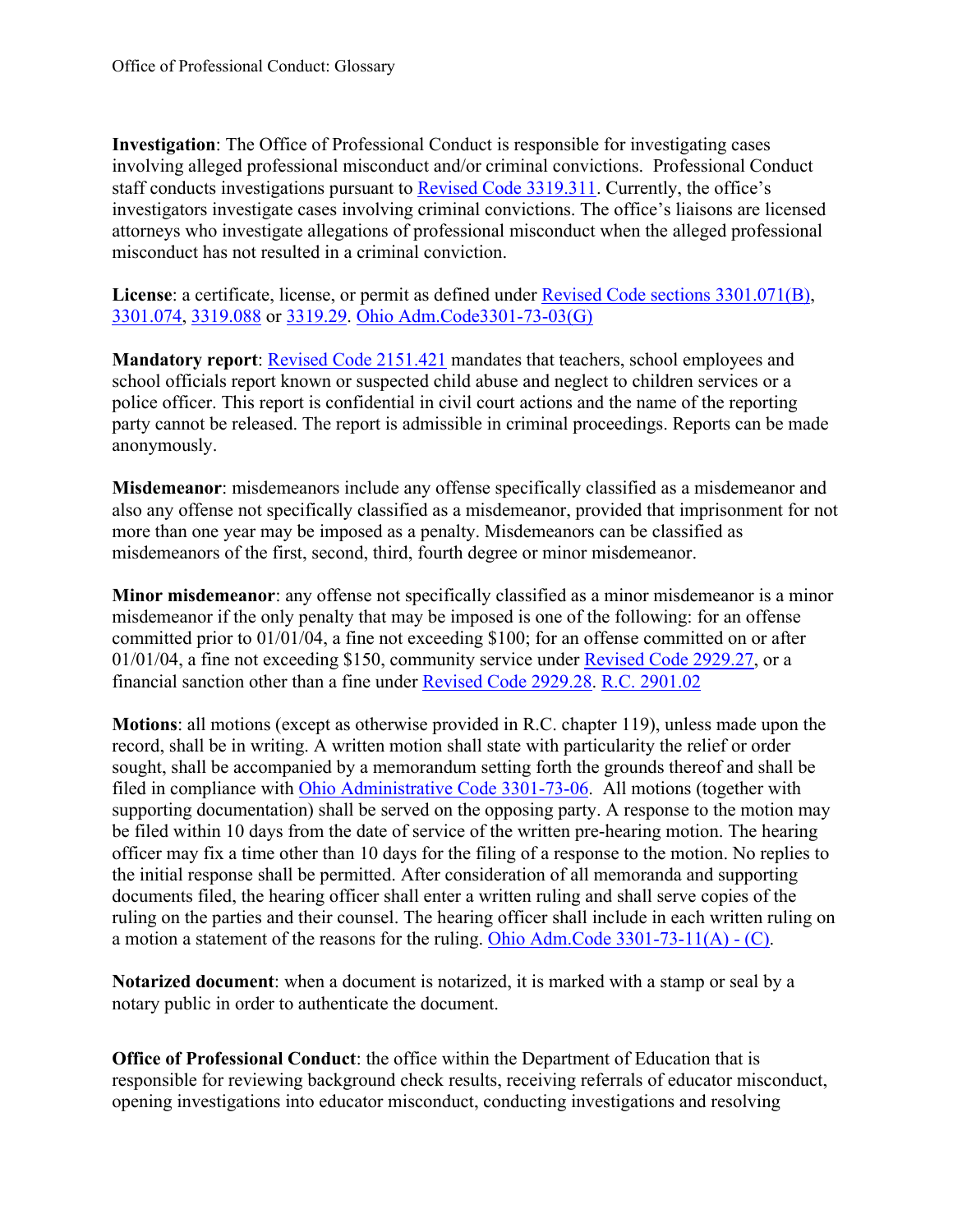involving alleged professional misconduct and/or criminal convictions. Professional Conduct **Investigation**: The Office of Professional Conduct is responsible for investigating cases staff conducts investigations pursuant to [Revised Code 3319.311.](https://codes.ohio.gov/ohio-revised-code/section-3319.311) Currently, the office's investigators investigate cases involving criminal convictions. The office's liaisons are licensed attorneys who investigate allegations of professional misconduct when the alleged professional misconduct has not resulted in a criminal conviction.

 [3301.074,](https://codes.ohio.gov/ohio-revised-code/section-3301.074) [3319.088](https://codes.ohio.gov/ohio-revised-code/section-3319.088) or [3319.29.](https://codes.ohio.gov/ohio-revised-code/section-3319.29) [Ohio Adm.Code3301-73-03\(G\)](https://codes.ohio.gov/ohio-administrative-code/rule-3301-73-03)  License: a certificate, license, or permit as defined under **Revised Code sections 3301.071(B)**,

 police officer. This report is confidential in civil court actions and the name of the reporting **Mandatory report**: [Revised Code 2151.421](https://codes.ohio.gov/ohio-revised-code/section-2151.421) mandates that teachers, school employees and school officials report known or suspected child abuse and neglect to children services or a party cannot be released. The report is admissible in criminal proceedings. Reports can be made anonymously.

**Misdemeanor**: misdemeanors include any offense specifically classified as a misdemeanor and also any offense not specifically classified as a misdemeanor, provided that imprisonment for not more than one year may be imposed as a penalty. Misdemeanors can be classified as misdemeanors of the first, second, third, fourth degree or minor misdemeanor.

 **Minor misdemeanor**: any offense not specifically classified as a minor misdemeanor is a minor misdemeanor if the only penalty that may be imposed is one of the following: for an offense 01/01/04, a fine not exceeding \$150, community service under **Revised Code 2929.27**, or a committed prior to 01/01/04, a fine not exceeding \$100; for an offense committed on or after financial sanction other than a fine under [Revised Code 2929.28.](https://codes.ohio.gov/ohio-revised-code/section-2929.28) [R.C. 2901.02](https://codes.ohio.gov/ohio-revised-code/section-2901.02) 

filed in compliance with *Ohio Administrative Code 3301-73-06*. All motions (together with be filed within 10 days from the date of service of the written pre-hearing motion. The hearing officer may fix a time other than 10 days for the filing of a response to the motion. No replies to documents filed, the hearing officer shall enter a written ruling and shall serve copies of the ruling on the parties and their counsel. The hearing officer shall include in each written ruling on a motion a statement of the reasons for the ruling. **Ohio Adm.Code 3301-73-11(A) - (C)**. **Motions**: all motions (except as otherwise provided in R.C. chapter 119), unless made upon the record, shall be in writing. A written motion shall state with particularity the relief or order sought, shall be accompanied by a memorandum setting forth the grounds thereof and shall be supporting documentation) shall be served on the opposing party. A response to the motion may the initial response shall be permitted. After consideration of all memoranda and supporting

**Notarized document**: when a document is notarized, it is marked with a stamp or seal by a notary public in order to authenticate the document.

 **Office of Professional Conduct**: the office within the Department of Education that is responsible for reviewing background check results, receiving referrals of educator misconduct, opening investigations into educator misconduct, conducting investigations and resolving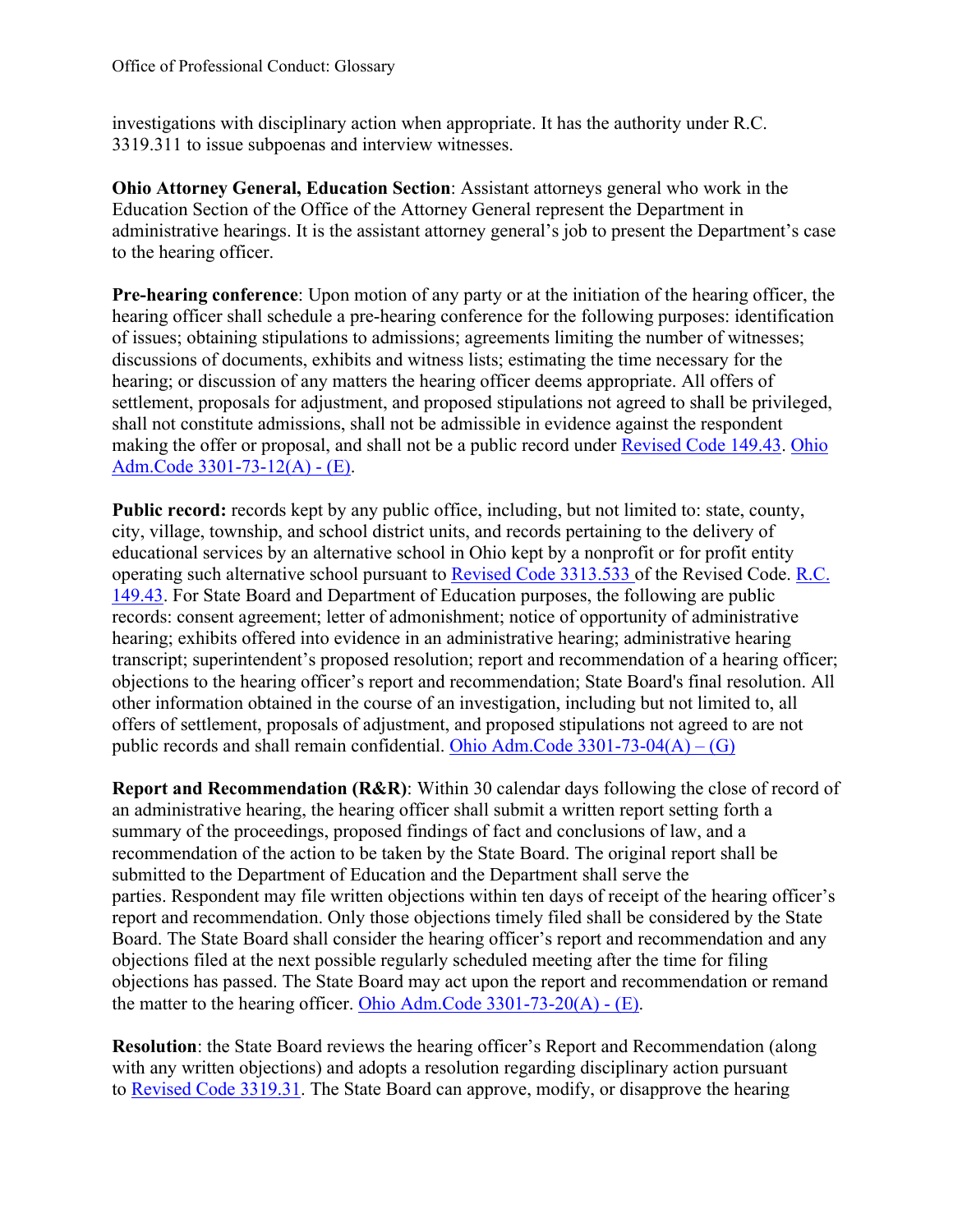investigations with disciplinary action when appropriate. It has the authority under R.C. 3319.311 to issue subpoenas and interview witnesses.

**Ohio Attorney General, Education Section**: Assistant attorneys general who work in the Education Section of the Office of the Attorney General represent the Department in administrative hearings. It is the assistant attorney general's job to present the Department's case to the hearing officer.

 **Pre-hearing conference**: Upon motion of any party or at the initiation of the hearing officer, the hearing; or discussion of any matters the hearing officer deems appropriate. All offers of settlement, proposals for adjustment, and proposed stipulations not agreed to shall be privileged, making the offer or proposal, and shall not be a public record under **Revised Code 149.43**. Ohio [Adm.Code 3301-73-12\(A\) -](https://codes.ohio.gov/ohio-administrative-code/rule-3301-73-12) (E). hearing officer shall schedule a pre-hearing conference for the following purposes: identification of issues; obtaining stipulations to admissions; agreements limiting the number of witnesses; discussions of documents, exhibits and witness lists; estimating the time necessary for the shall not constitute admissions, shall not be admissible in evidence against the respondent

Public record: records kept by any public office, including, but not limited to: state, county, city, village, township, and school district units, and records pertaining to the delivery of educational services by an alternative school in Ohio kept by a nonprofit or for profit entity operating such alternative school pursuant to [Revised Code 3313.533 o](https://codes.ohio.gov/ohio-revised-code/section-3313.533)f the Revised Code. [R.C.](https://codes.ohio.gov/ohio-revised-code/section-149.43)  [149.43.](https://codes.ohio.gov/ohio-revised-code/section-149.43) For State Board and Department of Education purposes, the following are public records: consent agreement; letter of admonishment; notice of opportunity of administrative hearing; exhibits offered into evidence in an administrative hearing; administrative hearing transcript; superintendent's proposed resolution; report and recommendation of a hearing officer; objections to the hearing officer's report and recommendation; State Board's final resolution. All other information obtained in the course of an investigation, including but not limited to, all offers of settlement, proposals of adjustment, and proposed stipulations not agreed to are not public records and shall remain confidential. Ohio Adm.Code  $3301-73-04(A) - (G)$ 

 summary of the proceedings, proposed findings of fact and conclusions of law, and a recommendation of the action to be taken by the State Board. The original report shall be Board. The State Board shall consider the hearing officer's report and recommendation and any **Report and Recommendation (R&R)**: Within 30 calendar days following the close of record of an administrative hearing, the hearing officer shall submit a written report setting forth a submitted to the Department of Education and the Department shall serve the parties. Respondent may file written objections within ten days of receipt of the hearing officer's report and recommendation. Only those objections timely filed shall be considered by the State objections filed at the next possible regularly scheduled meeting after the time for filing objections has passed. The State Board may act upon the report and recommendation or remand the matter to the hearing officer. [Ohio Adm.Code 3301-73-20\(A\) -](https://codes.ohio.gov/ohio-administrative-code/rule-3301-73-20) (E).

 **Resolution**: the State Board reviews the hearing officer's Report and Recommendation (along with any written objections) and adopts a resolution regarding disciplinary action pursuant to [Revised Code 3319.31.](https://codes.ohio.gov/ohio-revised-code/section-3319.31) The State Board can approve, modify, or disapprove the hearing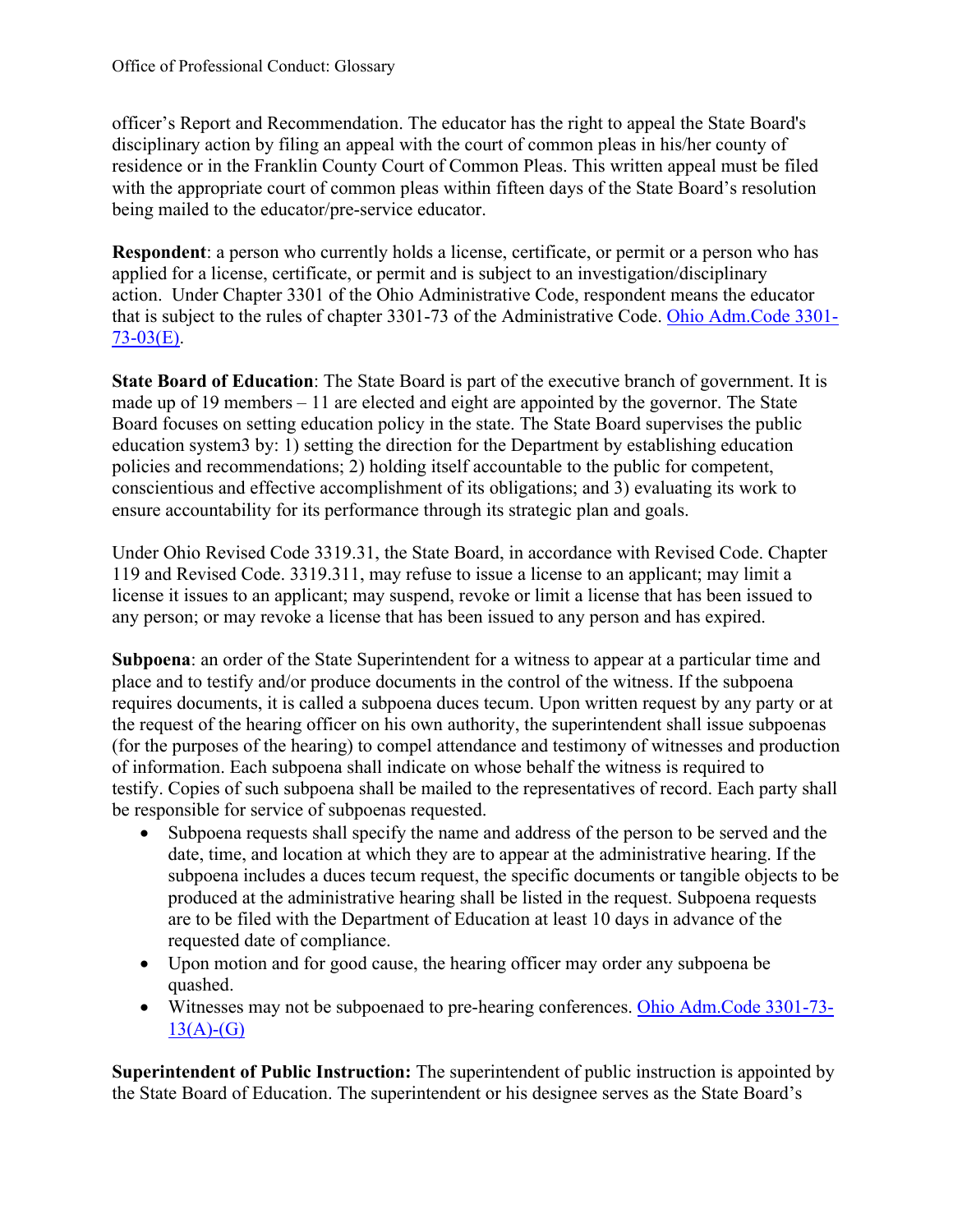officer's Report and Recommendation. The educator has the right to appeal the State Board's residence or in the Franklin County Court of Common Pleas. This written appeal must be filed disciplinary action by filing an appeal with the court of common pleas in his/her county of with the appropriate court of common pleas within fifteen days of the State Board's resolution being mailed to the educator/pre-service educator.

 **Respondent**: a person who currently holds a license, certificate, or permit or a person who has action. Under Chapter 3301 of the Ohio Administrative Code, respondent means the educator that is subject to the rules of chapter 3301-73 of the Administrative Code. [Ohio Adm.Code 3301](https://codes.ohio.gov/ohio-administrative-code/rule-3301-73-03) applied for a license, certificate, or permit and is subject to an investigation/disciplinary  $73-03(E)$ .

 **State Board of Education**: The State Board is part of the executive branch of government. It is made up of 19 members – 11 are elected and eight are appointed by the governor. The State Board focuses on setting education policy in the state. The State Board supervises the public education system3 by: 1) setting the direction for the Department by establishing education policies and recommendations; 2) holding itself accountable to the public for competent, conscientious and effective accomplishment of its obligations; and 3) evaluating its work to ensure accountability for its performance through its strategic plan and goals.

 Under Ohio Revised Code 3319.31, the State Board, in accordance with Revised Code. Chapter 119 and Revised Code. 3319.311, may refuse to issue a license to an applicant; may limit a license it issues to an applicant; may suspend, revoke or limit a license that has been issued to any person; or may revoke a license that has been issued to any person and has expired.

 requires documents, it is called a subpoena duces tecum. Upon written request by any party or at be responsible for service of subpoenas requested. **Subpoena**: an order of the State Superintendent for a witness to appear at a particular time and place and to testify and/or produce documents in the control of the witness. If the subpoena the request of the hearing officer on his own authority, the superintendent shall issue subpoenas (for the purposes of the hearing) to compel attendance and testimony of witnesses and production of information. Each subpoena shall indicate on whose behalf the witness is required to testify. Copies of such subpoena shall be mailed to the representatives of record. Each party shall

- • Subpoena requests shall specify the name and address of the person to be served and the requested date of compliance. date, time, and location at which they are to appear at the administrative hearing. If the subpoena includes a duces tecum request, the specific documents or tangible objects to be produced at the administrative hearing shall be listed in the request. Subpoena requests are to be filed with the Department of Education at least 10 days in advance of the
- Upon motion and for good cause, the hearing officer may order any subpoena be quashed.
- Witnesses may not be subpoenaed to pre-hearing conferences. [Ohio Adm.Code 3301-73-](https://codes.ohio.gov/ohio-administrative-code/rule-3301-73-13)  $13(A)-(G)$

**Superintendent of Public Instruction:** The superintendent of public instruction is appointed by the State Board of Education. The superintendent or his designee serves as the State Board's